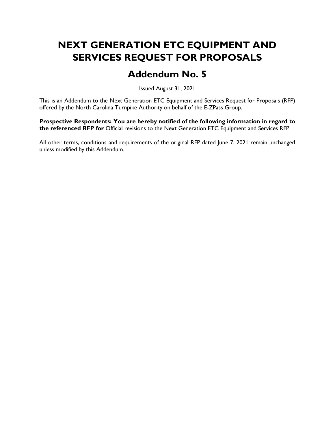# NEXT GENERATION ETC EQUIPMENT AND SERVICES REQUEST FOR PROPOSALS

## Addendum No. 5

Issued August 31, 2021

This is an Addendum to the Next Generation ETC Equipment and Services Request for Proposals (RFP) offered by the North Carolina Turnpike Authority on behalf of the E-ZPass Group.

Prospective Respondents: You are hereby notified of the following information in regard to the referenced RFP for Official revisions to the Next Generation ETC Equipment and Services RFP.

All other terms, conditions and requirements of the original RFP dated June 7, 2021 remain unchanged unless modified by this Addendum.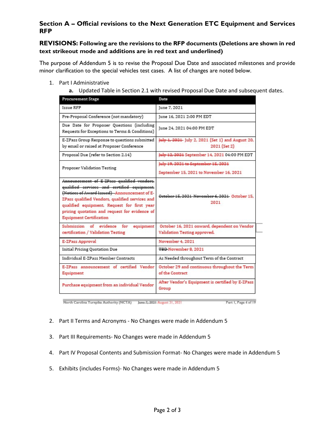### Section A – Official revisions to the Next Generation ETC Equipment and Services RFP

#### REVISIONS: Following are the revisions to the RFP documents (Deletions are shown in red text strikeout mode and additions are in red text and underlined)

The purpose of Addendum 5 is to revise the Proposal Due Date and associated milestones and provide minor clarification to the special vehicles test cases. A list of changes are noted below.

- 1. Part I Administrative
	- a. Updated Table in Section 2.1 with revised Proposal Due Date and subsequent dates.

| <b>Procurement Stage</b>                                                                                                                                                                                                                                                                                                         | Date                                                                           |
|----------------------------------------------------------------------------------------------------------------------------------------------------------------------------------------------------------------------------------------------------------------------------------------------------------------------------------|--------------------------------------------------------------------------------|
| <b>Issue RFP</b>                                                                                                                                                                                                                                                                                                                 | June 7, 2021                                                                   |
| Pre-Proposal Conference (not mandatory)                                                                                                                                                                                                                                                                                          | June 16, 2021 2:00 PM EDT                                                      |
| Due Date for Proposer Questions (including<br>Requests for Exceptions to Terms & Conditions)                                                                                                                                                                                                                                     | June 24, 2021 04:00 PM EDT                                                     |
| E-ZPass Group Response to questions submitted<br>by email or raised at Proposer Conference                                                                                                                                                                                                                                       | July 1, 2021 July 2, 2021 (Set 1) and August 20,<br>2021 (Set 2)               |
| Proposal Due (refer to Section 2.14)                                                                                                                                                                                                                                                                                             | July 12, 2021 September 14, 2021 04:00 PM EDT                                  |
| Proposer Validation Testing                                                                                                                                                                                                                                                                                                      | July 19, 2021 to September 15, 2021<br>September 15, 2021 to November 16, 2021 |
| Announcement of E ZPass qualified vendors,<br>qualified services and certified equipment.<br>(Notices of Award Issued) - Announcement of E-<br>ZPass qualified Vendors, qualified services and<br>qualified equipment. Request for first year<br>pricing quotation and request for evidence of<br><b>Equipment Certification</b> | Getober 15, 2021 November 6, 2021 October 15.<br>2021                          |
| Submission of evidence for<br>equipment<br>certification / Validation Testing                                                                                                                                                                                                                                                    | October 16, 2021 onward, dependent on Vendor<br>Validation Testing approved.   |
| E-ZPass Approval                                                                                                                                                                                                                                                                                                                 | November 4, 2021                                                               |
| <b>Initial Pricing Quotation Due</b>                                                                                                                                                                                                                                                                                             | <b>TBD</b> November 8, 2021                                                    |
| Individual E-ZPass Member Contracts                                                                                                                                                                                                                                                                                              | As Needed throughout Term of the Contract                                      |
| E-ZPass announcement of certified Vendor<br>Equipment                                                                                                                                                                                                                                                                            | October 29 and continuous throughout the Term<br>of the Contract               |
| Purchase equipment from an individual Vendor                                                                                                                                                                                                                                                                                     | After Vendor's Equipment is certified by E-ZPass<br>Group                      |

North Carolina Turnpike Authority (NCTA) June 7, 2021 August 31, 2021 Part I, Page 4 of 19

#### 2. Part II Terms and Acronyms - No Changes were made in Addendum 5

- 3. Part III Requirements- No Changes were made in Addendum 5
- 4. Part IV Proposal Contents and Submission Format- No Changes were made in Addendum 5
- 5. Exhibits (includes Forms)- No Changes were made in Addendum 5